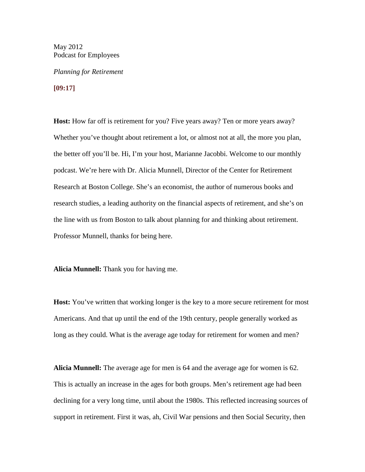May 2012 Podcast for Employees

*Planning for Retirement*

**[09:17]**

**Host:** How far off is retirement for you? Five years away? Ten or more years away? Whether you've thought about retirement a lot, or almost not at all, the more you plan, the better off you'll be. Hi, I'm your host, Marianne Jacobbi. Welcome to our monthly podcast. We're here with Dr. Alicia Munnell, Director of the Center for Retirement Research at Boston College. She's an economist, the author of numerous books and research studies, a leading authority on the financial aspects of retirement, and she's on the line with us from Boston to talk about planning for and thinking about retirement. Professor Munnell, thanks for being here.

**Alicia Munnell:** Thank you for having me.

**Host:** You've written that working longer is the key to a more secure retirement for most Americans. And that up until the end of the 19th century, people generally worked as long as they could. What is the average age today for retirement for women and men?

**Alicia Munnell:** The average age for men is 64 and the average age for women is 62. This is actually an increase in the ages for both groups. Men's retirement age had been declining for a very long time, until about the 1980s. This reflected increasing sources of support in retirement. First it was, ah, Civil War pensions and then Social Security, then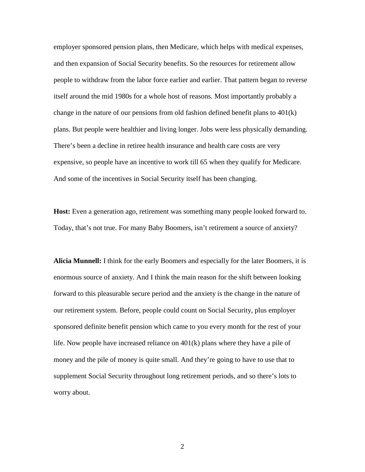employer sponsored pension plans, then Medicare, which helps with medical expenses, and then expansion of Social Security benefits. So the resources for retirement allow people to withdraw from the labor force earlier and earlier. That pattern began to reverse itself around the mid 1980s for a whole host of reasons. Most importantly probably a change in the nature of our pensions from old fashion defined benefit plans to  $401(k)$ plans. But people were healthier and living longer. Jobs were less physically demanding. There's been a decline in retiree health insurance and health care costs are very expensive, so people have an incentive to work till 65 when they qualify for Medicare. And some of the incentives in Social Security itself has been changing.

**Host:** Even a generation ago, retirement was something many people looked forward to. Today, that's not true. For many Baby Boomers, isn't retirement a source of anxiety?

**Alicia Munnell:** I think for the early Boomers and especially for the later Boomers, it is enormous source of anxiety. And I think the main reason for the shift between looking forward to this pleasurable secure period and the anxiety is the change in the nature of our retirement system. Before, people could count on Social Security, plus employer sponsored definite benefit pension which came to you every month for the rest of your life. Now people have increased reliance on 401(k) plans where they have a pile of money and the pile of money is quite small. And they're going to have to use that to supplement Social Security throughout long retirement periods, and so there's lots to worry about.

2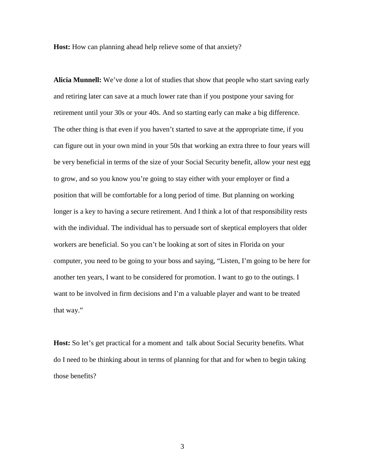**Host:** How can planning ahead help relieve some of that anxiety?

**Alicia Munnell:** We've done a lot of studies that show that people who start saving early and retiring later can save at a much lower rate than if you postpone your saving for retirement until your 30s or your 40s. And so starting early can make a big difference. The other thing is that even if you haven't started to save at the appropriate time, if you can figure out in your own mind in your 50s that working an extra three to four years will be very beneficial in terms of the size of your Social Security benefit, allow your nest egg to grow, and so you know you're going to stay either with your employer or find a position that will be comfortable for a long period of time. But planning on working longer is a key to having a secure retirement. And I think a lot of that responsibility rests with the individual. The individual has to persuade sort of skeptical employers that older workers are beneficial. So you can't be looking at sort of sites in Florida on your computer, you need to be going to your boss and saying, "Listen, I'm going to be here for another ten years, I want to be considered for promotion. I want to go to the outings. I want to be involved in firm decisions and I'm a valuable player and want to be treated that way."

**Host:** So let's get practical for a moment and talk about Social Security benefits. What do I need to be thinking about in terms of planning for that and for when to begin taking those benefits?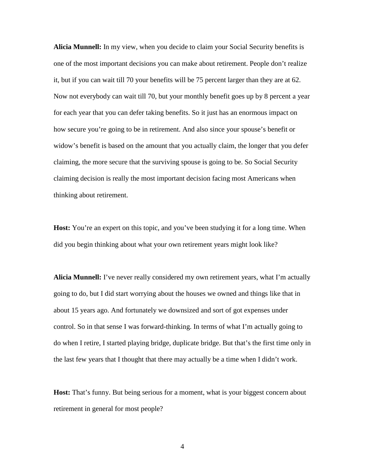**Alicia Munnell:** In my view, when you decide to claim your Social Security benefits is one of the most important decisions you can make about retirement. People don't realize it, but if you can wait till 70 your benefits will be 75 percent larger than they are at 62. Now not everybody can wait till 70, but your monthly benefit goes up by 8 percent a year for each year that you can defer taking benefits. So it just has an enormous impact on how secure you're going to be in retirement. And also since your spouse's benefit or widow's benefit is based on the amount that you actually claim, the longer that you defer claiming, the more secure that the surviving spouse is going to be. So Social Security claiming decision is really the most important decision facing most Americans when thinking about retirement.

**Host:** You're an expert on this topic, and you've been studying it for a long time. When did you begin thinking about what your own retirement years might look like?

**Alicia Munnell:** I've never really considered my own retirement years, what I'm actually going to do, but I did start worrying about the houses we owned and things like that in about 15 years ago. And fortunately we downsized and sort of got expenses under control. So in that sense I was forward-thinking. In terms of what I'm actually going to do when I retire, I started playing bridge, duplicate bridge. But that's the first time only in the last few years that I thought that there may actually be a time when I didn't work.

**Host:** That's funny. But being serious for a moment, what is your biggest concern about retirement in general for most people?

4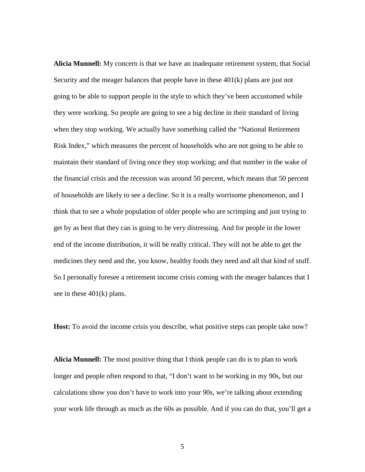**Alicia Munnell:** My concern is that we have an inadequate retirement system, that Social Security and the meager balances that people have in these  $401(k)$  plans are just not going to be able to support people in the style to which they've been accustomed while they were working. So people are going to see a big decline in their standard of living when they stop working. We actually have something called the "National Retirement Risk Index," which measures the percent of households who are not going to be able to maintain their standard of living once they stop working; and that number in the wake of the financial crisis and the recession was around 50 percent, which means that 50 percent of households are likely to see a decline. So it is a really worrisome phenomenon, and I think that to see a whole population of older people who are scrimping and just trying to get by as best that they can is going to be very distressing. And for people in the lower end of the income distribution, it will be really critical. They will not be able to get the medicines they need and the, you know, healthy foods they need and all that kind of stuff. So I personally foresee a retirement income crisis coming with the meager balances that I see in these 401(k) plans.

Host: To avoid the income crisis you describe, what positive steps can people take now?

**Alicia Munnell:** The most positive thing that I think people can do is to plan to work longer and people often respond to that, "I don't want to be working in my 90s, but our calculations show you don't have to work into your 90s, we're talking about extending your work life through as much as the 60s as possible. And if you can do that, you'll get a